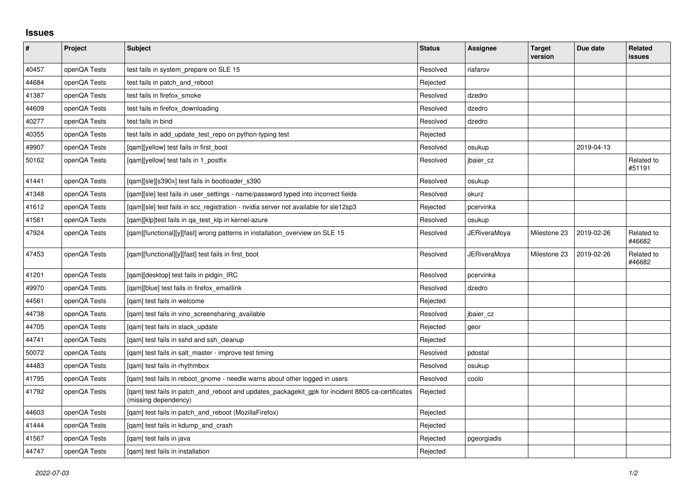## **Issues**

| $\sharp$ | Project      | Subject                                                                                                                   | <b>Status</b> | Assignee            | <b>Target</b><br>version | Due date   | Related<br>issues    |
|----------|--------------|---------------------------------------------------------------------------------------------------------------------------|---------------|---------------------|--------------------------|------------|----------------------|
| 40457    | openQA Tests | test fails in system prepare on SLE 15                                                                                    | Resolved      | riafarov            |                          |            |                      |
| 44684    | openQA Tests | test fails in patch and reboot                                                                                            | Rejected      |                     |                          |            |                      |
| 41387    | openQA Tests | test fails in firefox_smoke                                                                                               | Resolved      | dzedro              |                          |            |                      |
| 44609    | openQA Tests | test fails in firefox downloading                                                                                         | Resolved      | dzedro              |                          |            |                      |
| 40277    | openQA Tests | test fails in bind                                                                                                        | Resolved      | dzedro              |                          |            |                      |
| 40355    | openQA Tests | test fails in add update test repo on python-typing test                                                                  | Rejected      |                     |                          |            |                      |
| 49907    | openQA Tests | [qam][yellow] test fails in first_boot                                                                                    | Resolved      | osukup              |                          | 2019-04-13 |                      |
| 50162    | openQA Tests | [gam][yellow] test fails in 1 postfix                                                                                     | Resolved      | jbaier_cz           |                          |            | Related to<br>#51191 |
| 41441    | openQA Tests | [gam][sle][s390x] test fails in bootloader s390                                                                           | Resolved      | osukup              |                          |            |                      |
| 41348    | openQA Tests | [gam][sle] test fails in user settings - name/password typed into incorrect fields                                        | Resolved      | okurz               |                          |            |                      |
| 41612    | openQA Tests | [qam][sle] test fails in scc_registration - nvidia server not available for sle12sp3                                      | Rejected      | pcervinka           |                          |            |                      |
| 41561    | openQA Tests | [gam][klp]test fails in ga test klp in kernel-azure                                                                       | Resolved      | osukup              |                          |            |                      |
| 47924    | openQA Tests | [gam][functional][y][fast] wrong patterns in installation overview on SLE 15                                              | Resolved      | JERiveraMoya        | Milestone 23             | 2019-02-26 | Related to<br>#46682 |
| 47453    | openQA Tests | [qam][functional][y][fast] test fails in first_boot                                                                       | Resolved      | <b>JERiveraMoya</b> | Milestone 23             | 2019-02-26 | Related to<br>#46682 |
| 41201    | openQA Tests | [gam][desktop] test fails in pidgin IRC                                                                                   | Resolved      | pcervinka           |                          |            |                      |
| 49970    | openQA Tests | [qam][blue] test fails in firefox_emaillink                                                                               | Resolved      | dzedro              |                          |            |                      |
| 44561    | openQA Tests | [gam] test fails in welcome                                                                                               | Rejected      |                     |                          |            |                      |
| 44738    | openQA Tests | [qam] test fails in vino_screensharing_available                                                                          | Resolved      | jbaier_cz           |                          |            |                      |
| 44705    | openQA Tests | [gam] test fails in stack update                                                                                          | Rejected      | geor                |                          |            |                      |
| 44741    | openQA Tests | [gam] test fails in sshd and ssh cleanup                                                                                  | Rejected      |                     |                          |            |                      |
| 50072    | openQA Tests | [gam] test fails in salt master - improve test timing                                                                     | Resolved      | pdostal             |                          |            |                      |
| 44483    | openQA Tests | [qam] test fails in rhythmbox                                                                                             | Resolved      | osukup              |                          |            |                      |
| 41795    | openQA Tests | [gam] test fails in reboot gnome - needle warns about other logged in users                                               | Resolved      | coolo               |                          |            |                      |
| 41792    | openQA Tests | [qam] test fails in patch_and_reboot and updates_packagekit_gpk for incident 8805 ca-certificates<br>(missing dependency) | Rejected      |                     |                          |            |                      |
| 44603    | openQA Tests | [gam] test fails in patch and reboot (MozillaFirefox)                                                                     | Rejected      |                     |                          |            |                      |
| 41444    | openQA Tests | [qam] test fails in kdump_and_crash                                                                                       | Rejected      |                     |                          |            |                      |
| 41567    | openQA Tests | [gam] test fails in java                                                                                                  | Rejected      | pgeorgiadis         |                          |            |                      |
| 44747    | openQA Tests | [gam] test fails in installation                                                                                          | Rejected      |                     |                          |            |                      |